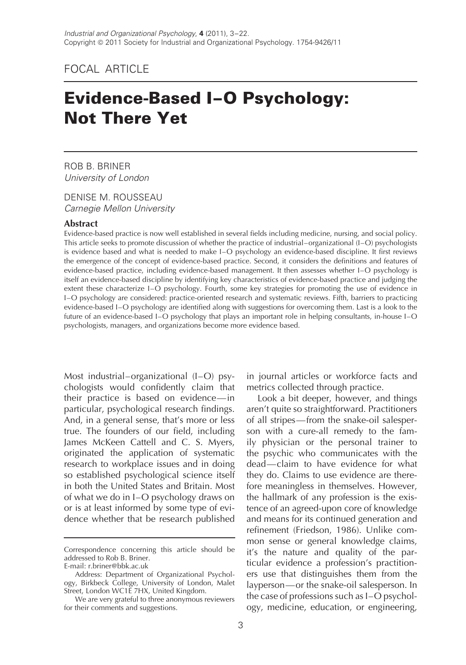# FOCAL ARTICLE

# **Evidence-Based I–O Psychology: Not There Yet**

ROB B. BRINER University of London

DENISE M. ROUSSEAU Carnegie Mellon University

#### **Abstract**

Evidence-based practice is now well established in several fields including medicine, nursing, and social policy. This article seeks to promote discussion of whether the practice of industrial–organizational (I–O) psychologists is evidence based and what is needed to make I–O psychology an evidence-based discipline. It first reviews the emergence of the concept of evidence-based practice. Second, it considers the definitions and features of evidence-based practice, including evidence-based management. It then assesses whether I–O psychology is itself an evidence-based discipline by identifying key characteristics of evidence-based practice and judging the extent these characterize I–O psychology. Fourth, some key strategies for promoting the use of evidence in I–O psychology are considered: practice-oriented research and systematic reviews. Fifth, barriers to practicing evidence-based I–O psychology are identified along with suggestions for overcoming them. Last is a look to the future of an evidence-based I–O psychology that plays an important role in helping consultants, in-house I–O psychologists, managers, and organizations become more evidence based.

Most industrial–organizational (I–O) psychologists would confidently claim that their practice is based on evidence—in particular, psychological research findings. And, in a general sense, that's more or less true. The founders of our field, including James McKeen Cattell and C. S. Myers, originated the application of systematic research to workplace issues and in doing so established psychological science itself in both the United States and Britain. Most of what we do in I–O psychology draws on or is at least informed by some type of evidence whether that be research published

in journal articles or workforce facts and metrics collected through practice.

Look a bit deeper, however, and things aren't quite so straightforward. Practitioners of all stripes—from the snake-oil salesperson with a cure-all remedy to the family physician or the personal trainer to the psychic who communicates with the dead—claim to have evidence for what they do. Claims to use evidence are therefore meaningless in themselves. However, the hallmark of any profession is the existence of an agreed-upon core of knowledge and means for its continued generation and refinement (Friedson, 1986). Unlike common sense or general knowledge claims, it's the nature and quality of the particular evidence a profession's practitioners use that distinguishes them from the layperson—or the snake-oil salesperson. In the case of professions such as I–O psychology, medicine, education, or engineering,

Correspondence concerning this article should be addressed to Rob B. Briner.

E-mail: r.briner@bbk.ac.uk

Address: Department of Organizational Psychology, Birkbeck College, University of London, Malet Street, London WC1E 7HX, United Kingdom.

We are very grateful to three anonymous reviewers for their comments and suggestions.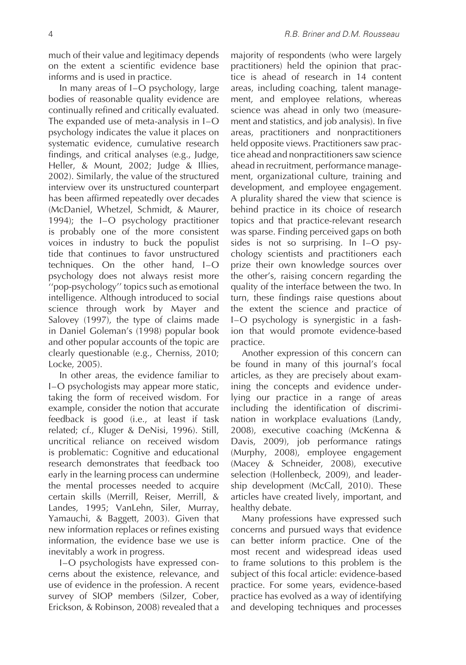much of their value and legitimacy depends on the extent a scientific evidence base informs and is used in practice.

In many areas of I–O psychology, large bodies of reasonable quality evidence are continually refined and critically evaluated. The expanded use of meta-analysis in I–O psychology indicates the value it places on systematic evidence, cumulative research findings, and critical analyses (e.g., Judge, Heller, & Mount, 2002; Judge & Illies, 2002). Similarly, the value of the structured interview over its unstructured counterpart has been affirmed repeatedly over decades (McDaniel, Whetzel, Schmidt, & Maurer, 1994); the I–O psychology practitioner is probably one of the more consistent voices in industry to buck the populist tide that continues to favor unstructured techniques. On the other hand, I–O psychology does not always resist more ''pop-psychology'' topics such as emotional intelligence. Although introduced to social science through work by Mayer and Salovey (1997), the type of claims made in Daniel Goleman's (1998) popular book and other popular accounts of the topic are clearly questionable (e.g., Cherniss, 2010; Locke, 2005).

In other areas, the evidence familiar to I–O psychologists may appear more static, taking the form of received wisdom. For example, consider the notion that accurate feedback is good (i.e., at least if task related; cf., Kluger & DeNisi, 1996). Still, uncritical reliance on received wisdom is problematic: Cognitive and educational research demonstrates that feedback too early in the learning process can undermine the mental processes needed to acquire certain skills (Merrill, Reiser, Merrill, & Landes, 1995; VanLehn, Siler, Murray, Yamauchi, & Baggett, 2003). Given that new information replaces or refines existing information, the evidence base we use is inevitably a work in progress.

I–O psychologists have expressed concerns about the existence, relevance, and use of evidence in the profession. A recent survey of SIOP members (Silzer, Cober, Erickson, & Robinson, 2008) revealed that a

majority of respondents (who were largely practitioners) held the opinion that practice is ahead of research in 14 content areas, including coaching, talent management, and employee relations, whereas science was ahead in only two (measurement and statistics, and job analysis). In five areas, practitioners and nonpractitioners held opposite views. Practitioners saw practice ahead and nonpractitioners saw science ahead in recruitment, performance management, organizational culture, training and development, and employee engagement. A plurality shared the view that science is behind practice in its choice of research topics and that practice-relevant research was sparse. Finding perceived gaps on both sides is not so surprising. In I–O psychology scientists and practitioners each prize their own knowledge sources over the other's, raising concern regarding the quality of the interface between the two. In turn, these findings raise questions about the extent the science and practice of I–O psychology is synergistic in a fashion that would promote evidence-based practice.

Another expression of this concern can be found in many of this journal's focal articles, as they are precisely about examining the concepts and evidence underlying our practice in a range of areas including the identification of discrimination in workplace evaluations (Landy, 2008), executive coaching (McKenna & Davis, 2009), job performance ratings (Murphy, 2008), employee engagement (Macey & Schneider, 2008), executive selection (Hollenbeck, 2009), and leadership development (McCall, 2010). These articles have created lively, important, and healthy debate.

Many professions have expressed such concerns and pursued ways that evidence can better inform practice. One of the most recent and widespread ideas used to frame solutions to this problem is the subject of this focal article: evidence-based practice. For some years, evidence-based practice has evolved as a way of identifying and developing techniques and processes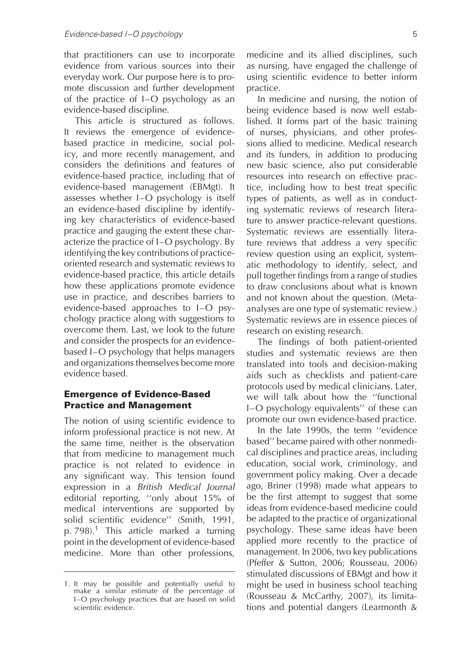that practitioners can use to incorporate evidence from various sources into their everyday work. Our purpose here is to promote discussion and further development of the practice of I–O psychology as an evidence-based discipline.

This article is structured as follows. It reviews the emergence of evidencebased practice in medicine, social policy, and more recently management, and considers the definitions and features of evidence-based practice, including that of evidence-based management (EBMgt). It assesses whether I–O psychology is itself an evidence-based discipline by identifying key characteristics of evidence-based practice and gauging the extent these characterize the practice of I–O psychology. By identifying the key contributions of practiceoriented research and systematic reviews to evidence-based practice, this article details how these applications promote evidence use in practice, and describes barriers to evidence-based approaches to I–O psychology practice along with suggestions to overcome them. Last, we look to the future and consider the prospects for an evidencebased I–O psychology that helps managers and organizations themselves become more evidence based.

## **Emergence of Evidence-Based Practice and Management**

The notion of using scientific evidence to inform professional practice is not new. At the same time, neither is the observation that from medicine to management much practice is not related to evidence in any significant way. This tension found expression in a British Medical Journal editorial reporting, ''only about 15% of medical interventions are supported by solid scientific evidence'' (Smith, 1991, p. 798).<sup>1</sup> This article marked a turning point in the development of evidence-based medicine. More than other professions, medicine and its allied disciplines, such as nursing, have engaged the challenge of using scientific evidence to better inform practice.

In medicine and nursing, the notion of being evidence based is now well established. It forms part of the basic training of nurses, physicians, and other professions allied to medicine. Medical research and its funders, in addition to producing new basic science, also put considerable resources into research on effective practice, including how to best treat specific types of patients, as well as in conducting systematic reviews of research literature to answer practice-relevant questions. Systematic reviews are essentially literature reviews that address a very specific review question using an explicit, systematic methodology to identify, select, and pull together findings from a range of studies to draw conclusions about what is known and not known about the question. (Metaanalyses are one type of systematic review.) Systematic reviews are in essence pieces of research on existing research.

The findings of both patient-oriented studies and systematic reviews are then translated into tools and decision-making aids such as checklists and patient-care protocols used by medical clinicians. Later, we will talk about how the ''functional I–O psychology equivalents'' of these can promote our own evidence-based practice.

In the late 1990s, the term ''evidence based'' became paired with other nonmedical disciplines and practice areas, including education, social work, criminology, and government policy making. Over a decade ago, Briner (1998) made what appears to be the first attempt to suggest that some ideas from evidence-based medicine could be adapted to the practice of organizational psychology. These same ideas have been applied more recently to the practice of management. In 2006, two key publications (Pfeffer & Sutton, 2006; Rousseau, 2006) stimulated discussions of EBMgt and how it might be used in business school teaching (Rousseau & McCarthy, 2007), its limitations and potential dangers (Learmonth &

<sup>1.</sup> It may be possible and potentially useful to make a similar estimate of the percentage of I–O psychology practices that are based on solid scientific evidence.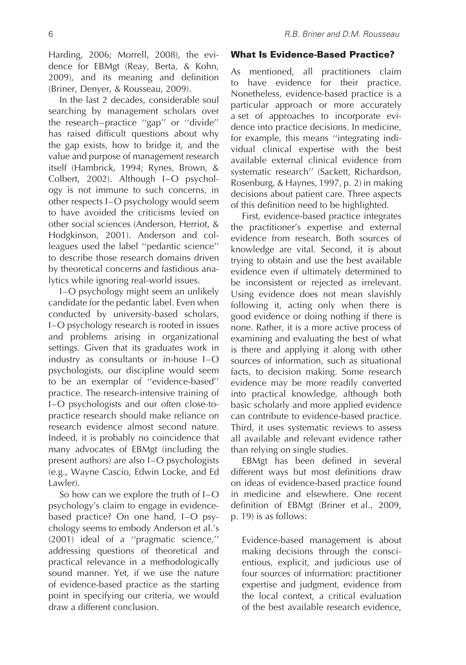Harding, 2006; Morrell, 2008), the evidence for EBMgt (Reay, Berta, & Kohn, 2009), and its meaning and definition (Briner, Denyer, & Rousseau, 2009).

In the last 2 decades, considerable soul searching by management scholars over the research–practice ''gap'' or ''divide'' has raised difficult questions about why the gap exists, how to bridge it, and the value and purpose of management research itself (Hambrick, 1994; Rynes, Brown, & Colbert, 2002). Although I–O psychology is not immune to such concerns, in other respects I–O psychology would seem to have avoided the criticisms levied on other social sciences (Anderson, Herriot, & Hodgkinson, 2001). Anderson and colleagues used the label ''pedantic science'' to describe those research domains driven by theoretical concerns and fastidious analytics while ignoring real-world issues.

I–O psychology might seem an unlikely candidate for the pedantic label. Even when conducted by university-based scholars, I–O psychology research is rooted in issues and problems arising in organizational settings. Given that its graduates work in industry as consultants or in-house I–O psychologists, our discipline would seem to be an exemplar of ''evidence-based'' practice. The research-intensive training of I–O psychologists and our often close-topractice research should make reliance on research evidence almost second nature. Indeed, it is probably no coincidence that many advocates of EBMgt (including the present authors) are also I–O psychologists (e.g., Wayne Cascio, Edwin Locke, and Ed Lawler).

So how can we explore the truth of I–O psychology's claim to engage in evidencebased practice? On one hand, I–O psychology seems to embody Anderson et al.'s (2001) ideal of a ''pragmatic science,'' addressing questions of theoretical and practical relevance in a methodologically sound manner. Yet, if we use the nature of evidence-based practice as the starting point in specifying our criteria, we would draw a different conclusion.

## **What Is Evidence-Based Practice?**

As mentioned, all practitioners claim to have evidence for their practice. Nonetheless, evidence-based practice is a particular approach or more accurately a set of approaches to incorporate evidence into practice decisions. In medicine, for example, this means ''integrating individual clinical expertise with the best available external clinical evidence from systematic research'' (Sackett, Richardson, Rosenburg, & Haynes, 1997, p. 2) in making decisions about patient care. Three aspects of this definition need to be highlighted.

First, evidence-based practice integrates the practitioner's expertise and external evidence from research. Both sources of knowledge are vital. Second, it is about trying to obtain and use the best available evidence even if ultimately determined to be inconsistent or rejected as irrelevant. Using evidence does not mean slavishly following it, acting only when there is good evidence or doing nothing if there is none. Rather, it is a more active process of examining and evaluating the best of what is there and applying it along with other sources of information, such as situational facts, to decision making. Some research evidence may be more readily converted into practical knowledge, although both basic scholarly and more applied evidence can contribute to evidence-based practice. Third, it uses systematic reviews to assess all available and relevant evidence rather than relying on single studies.

EBMgt has been defined in several different ways but most definitions draw on ideas of evidence-based practice found in medicine and elsewhere. One recent definition of EBMgt (Briner et al., 2009, p. 19) is as follows:

Evidence-based management is about making decisions through the conscientious, explicit, and judicious use of four sources of information: practitioner expertise and judgment, evidence from the local context, a critical evaluation of the best available research evidence,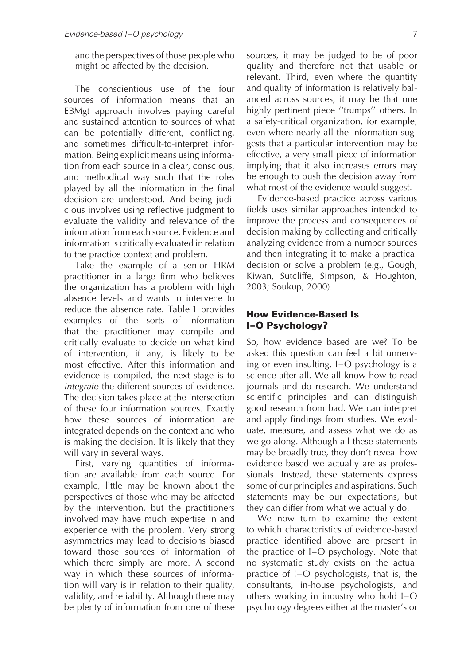and the perspectives of those people who might be affected by the decision.

The conscientious use of the four sources of information means that an EBMgt approach involves paying careful and sustained attention to sources of what can be potentially different, conflicting, and sometimes difficult-to-interpret information. Being explicit means using information from each source in a clear, conscious, and methodical way such that the roles played by all the information in the final decision are understood. And being judicious involves using reflective judgment to evaluate the validity and relevance of the information from each source. Evidence and information is critically evaluated in relation to the practice context and problem.

Take the example of a senior HRM practitioner in a large firm who believes the organization has a problem with high absence levels and wants to intervene to reduce the absence rate. Table 1 provides examples of the sorts of information that the practitioner may compile and critically evaluate to decide on what kind of intervention, if any, is likely to be most effective. After this information and evidence is compiled, the next stage is to integrate the different sources of evidence. The decision takes place at the intersection of these four information sources. Exactly how these sources of information are integrated depends on the context and who is making the decision. It is likely that they will vary in several ways.

First, varying quantities of information are available from each source. For example, little may be known about the perspectives of those who may be affected by the intervention, but the practitioners involved may have much expertise in and experience with the problem. Very strong asymmetries may lead to decisions biased toward those sources of information of which there simply are more. A second way in which these sources of information will vary is in relation to their quality, validity, and reliability. Although there may be plenty of information from one of these

sources, it may be judged to be of poor quality and therefore not that usable or relevant. Third, even where the quantity and quality of information is relatively balanced across sources, it may be that one highly pertinent piece ''trumps'' others. In a safety-critical organization, for example, even where nearly all the information suggests that a particular intervention may be effective, a very small piece of information implying that it also increases errors may be enough to push the decision away from what most of the evidence would suggest.

Evidence-based practice across various fields uses similar approaches intended to improve the process and consequences of decision making by collecting and critically analyzing evidence from a number sources and then integrating it to make a practical decision or solve a problem (e.g., Gough, Kiwan, Sutcliffe, Simpson, & Houghton, 2003; Soukup, 2000).

## **How Evidence-Based Is I–O Psychology?**

So, how evidence based are we? To be asked this question can feel a bit unnerving or even insulting. I–O psychology is a science after all. We all know how to read journals and do research. We understand scientific principles and can distinguish good research from bad. We can interpret and apply findings from studies. We evaluate, measure, and assess what we do as we go along. Although all these statements may be broadly true, they don't reveal how evidence based we actually are as professionals. Instead, these statements express some of our principles and aspirations. Such statements may be our expectations, but they can differ from what we actually do.

We now turn to examine the extent to which characteristics of evidence-based practice identified above are present in the practice of I–O psychology. Note that no systematic study exists on the actual practice of I–O psychologists, that is, the consultants, in-house psychologists, and others working in industry who hold I–O psychology degrees either at the master's or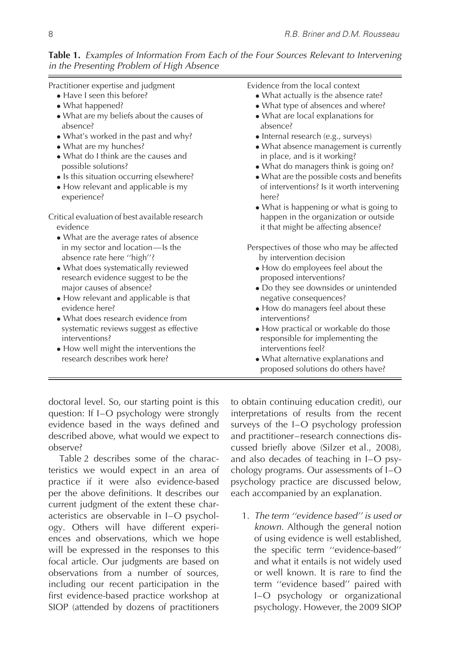**Table 1.** Examples of Information From Each of the Four Sources Relevant to Intervening in the Presenting Problem of High Absence

Practitioner expertise and judgment

- Have I seen this before?
- What happened?
- What are my beliefs about the causes of absence?
- What's worked in the past and why?
- What are my hunches?
- What do I think are the causes and possible solutions?
- Is this situation occurring elsewhere?
- How relevant and applicable is my experience?

Critical evaluation of best available research evidence

- What are the average rates of absence in my sector and location—Is the absence rate here ''high''?
- What does systematically reviewed research evidence suggest to be the major causes of absence?
- How relevant and applicable is that evidence here?
- What does research evidence from systematic reviews suggest as effective interventions?
- How well might the interventions the research describes work here?

Evidence from the local context

- What actually is the absence rate?
- What type of absences and where?
- What are local explanations for absence?
- Internal research (e.g., surveys)
- What absence management is currently in place, and is it working?
- What do managers think is going on?
- What are the possible costs and benefits of interventions? Is it worth intervening here?
- What is happening or what is going to happen in the organization or outside it that might be affecting absence?

Perspectives of those who may be affected by intervention decision

- How do employees feel about the proposed interventions?
- Do they see downsides or unintended negative consequences?
- How do managers feel about these interventions?
- How practical or workable do those responsible for implementing the interventions feel?
- What alternative explanations and proposed solutions do others have?

doctoral level. So, our starting point is this question: If I–O psychology were strongly evidence based in the ways defined and described above, what would we expect to observe?

Table 2 describes some of the characteristics we would expect in an area of practice if it were also evidence-based per the above definitions. It describes our current judgment of the extent these characteristics are observable in I–O psychology. Others will have different experiences and observations, which we hope will be expressed in the responses to this focal article. Our judgments are based on observations from a number of sources, including our recent participation in the first evidence-based practice workshop at SIOP (attended by dozens of practitioners

to obtain continuing education credit), our interpretations of results from the recent surveys of the I–O psychology profession and practitioner– research connections discussed briefly above (Silzer et al., 2008), and also decades of teaching in I–O psychology programs. Our assessments of I–O psychology practice are discussed below, each accompanied by an explanation.

1. The term ''evidence based'' is used or known. Although the general notion of using evidence is well established, the specific term ''evidence-based'' and what it entails is not widely used or well known. It is rare to find the term ''evidence based'' paired with I–O psychology or organizational psychology. However, the 2009 SIOP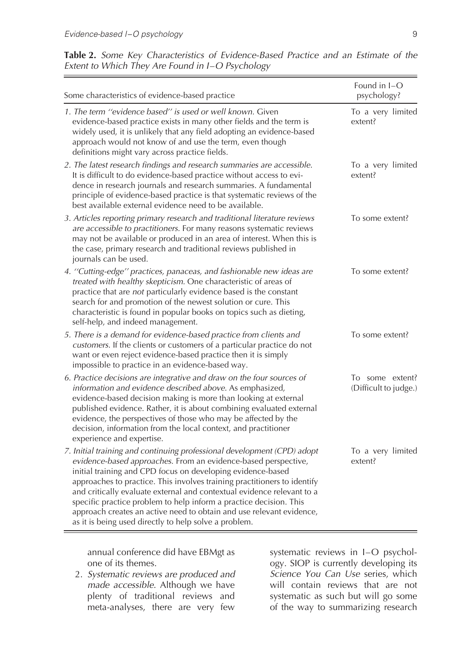| Extent to Which They Are Found in I-O Psychology                                                                                                                                                                                                                                                                                                                                                                                              |                                          |
|-----------------------------------------------------------------------------------------------------------------------------------------------------------------------------------------------------------------------------------------------------------------------------------------------------------------------------------------------------------------------------------------------------------------------------------------------|------------------------------------------|
| Some characteristics of evidence-based practice                                                                                                                                                                                                                                                                                                                                                                                               | Found in I-O<br>psychology?              |
| 1. The term "evidence based" is used or well known. Given<br>evidence-based practice exists in many other fields and the term is<br>widely used, it is unlikely that any field adopting an evidence-based<br>approach would not know of and use the term, even though<br>definitions might vary across practice fields.                                                                                                                       | To a very limited<br>extent?             |
| 2. The latest research findings and research summaries are accessible.<br>It is difficult to do evidence-based practice without access to evi-<br>dence in research journals and research summaries. A fundamental<br>principle of evidence-based practice is that systematic reviews of the<br>best available external evidence need to be available.                                                                                        | To a very limited<br>extent?             |
| 3. Articles reporting primary research and traditional literature reviews<br>are accessible to practitioners. For many reasons systematic reviews<br>may not be available or produced in an area of interest. When this is<br>the case, primary research and traditional reviews published in<br>journals can be used.                                                                                                                        | To some extent?                          |
| 4. "Cutting-edge" practices, panaceas, and fashionable new ideas are<br>treated with healthy skepticism. One characteristic of areas of<br>practice that are not particularly evidence based is the constant<br>search for and promotion of the newest solution or cure. This<br>characteristic is found in popular books on topics such as dieting,<br>self-help, and indeed management.                                                     | To some extent?                          |
| 5. There is a demand for evidence-based practice from clients and<br>customers. If the clients or customers of a particular practice do not<br>want or even reject evidence-based practice then it is simply<br>impossible to practice in an evidence-based way.                                                                                                                                                                              | To some extent?                          |
| 6. Practice decisions are integrative and draw on the four sources of<br>information and evidence described above. As emphasized,<br>evidence-based decision making is more than looking at external<br>published evidence. Rather, it is about combining evaluated external<br>evidence, the perspectives of those who may be affected by the<br>decision, information from the local context, and practitioner<br>experience and expertise. | To some extent?<br>(Difficult to judge.) |

**Table 2.** Some Key Characteristics of Evidence-Based Practice and an Estimate of the

7. Initial training and continuing professional development (CPD) adopt evidence-based approaches. From an evidence-based perspective, initial training and CPD focus on developing evidence-based approaches to practice. This involves training practitioners to identify and critically evaluate external and contextual evidence relevant to a specific practice problem to help inform a practice decision. This approach creates an active need to obtain and use relevant evidence, as it is being used directly to help solve a problem. To a very limited extent?

annual conference did have EBMgt as one of its themes.

2. Systematic reviews are produced and made accessible. Although we have plenty of traditional reviews and meta-analyses, there are very few

systematic reviews in I–O psychology. SIOP is currently developing its Science You Can Use series, which will contain reviews that are not systematic as such but will go some of the way to summarizing research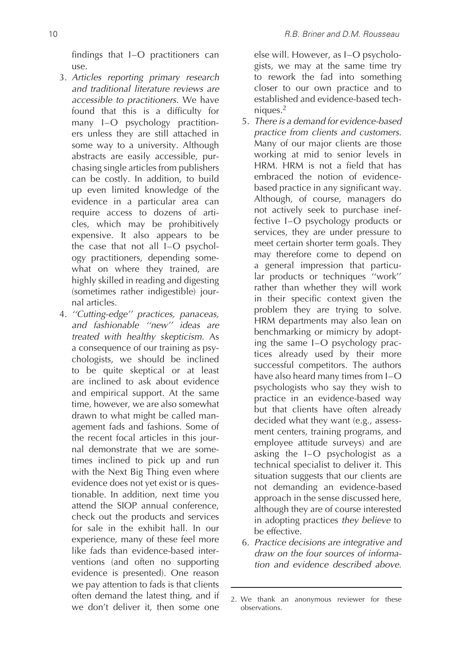findings that I–O practitioners can use.

- 3. Articles reporting primary research and traditional literature reviews are accessible to practitioners. We have found that this is a difficulty for many I–O psychology practitioners unless they are still attached in some way to a university. Although abstracts are easily accessible, purchasing single articles from publishers can be costly. In addition, to build up even limited knowledge of the evidence in a particular area can require access to dozens of articles, which may be prohibitively expensive. It also appears to be the case that not all I–O psychology practitioners, depending somewhat on where they trained, are highly skilled in reading and digesting (sometimes rather indigestible) journal articles.
- 4. ''Cutting-edge'' practices, panaceas, and fashionable ''new'' ideas are treated with healthy skepticism. As a consequence of our training as psychologists, we should be inclined to be quite skeptical or at least are inclined to ask about evidence and empirical support. At the same time, however, we are also somewhat drawn to what might be called management fads and fashions. Some of the recent focal articles in this journal demonstrate that we are sometimes inclined to pick up and run with the Next Big Thing even where evidence does not yet exist or is questionable. In addition, next time you attend the SIOP annual conference, check out the products and services for sale in the exhibit hall. In our experience, many of these feel more like fads than evidence-based interventions (and often no supporting evidence is presented). One reason we pay attention to fads is that clients often demand the latest thing, and if we don't deliver it, then some one

else will. However, as I–O psychologists, we may at the same time try to rework the fad into something closer to our own practice and to established and evidence-based techniques.2

- 5. There is <sup>a</sup> demand for evidence-based practice from clients and customers. Many of our major clients are those working at mid to senior levels in HRM. HRM is not a field that has embraced the notion of evidencebased practice in any significant way. Although, of course, managers do not actively seek to purchase ineffective I–O psychology products or services, they are under pressure to meet certain shorter term goals. They may therefore come to depend on a general impression that particular products or techniques ''work'' rather than whether they will work in their specific context given the problem they are trying to solve. HRM departments may also lean on benchmarking or mimicry by adopting the same I–O psychology practices already used by their more successful competitors. The authors have also heard many times from I–O psychologists who say they wish to practice in an evidence-based way but that clients have often already decided what they want (e.g., assessment centers, training programs, and employee attitude surveys) and are asking the I–O psychologist as a technical specialist to deliver it. This situation suggests that our clients are not demanding an evidence-based approach in the sense discussed here, although they are of course interested in adopting practices they believe to be effective.
- 6. Practice decisions are integrative and draw on the four sources of information and evidence described above.

<sup>2.</sup> We thank an anonymous reviewer for these observations.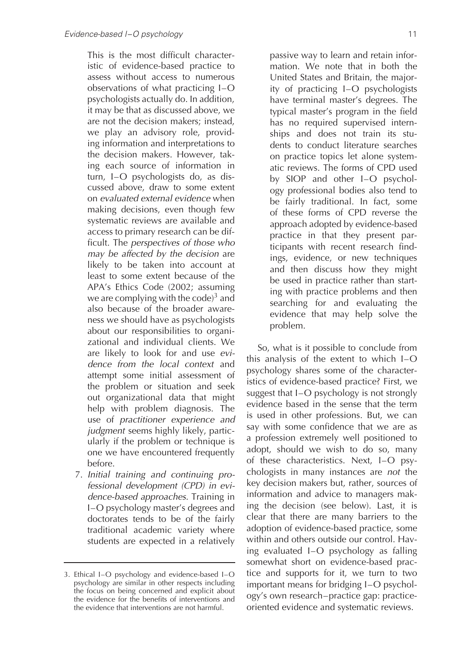This is the most difficult characteristic of evidence-based practice to assess without access to numerous observations of what practicing I–O psychologists actually do. In addition, it may be that as discussed above, we are not the decision makers; instead, we play an advisory role, providing information and interpretations to the decision makers. However, taking each source of information in turn, I–O psychologists do, as discussed above, draw to some extent on evaluated external evidence when making decisions, even though few systematic reviews are available and access to primary research can be difficult. The perspectives of those who may be affected by the decision are likely to be taken into account at least to some extent because of the APA's Ethics Code (2002; assuming we are complying with the code)<sup>3</sup> and also because of the broader awareness we should have as psychologists about our responsibilities to organizational and individual clients. We are likely to look for and use evidence from the local context and attempt some initial assessment of the problem or situation and seek out organizational data that might help with problem diagnosis. The use of practitioner experience and judgment seems highly likely, particularly if the problem or technique is one we have encountered frequently before.

7. Initial training and continuing professional development (CPD) in evidence-based approaches. Training in I–O psychology master's degrees and doctorates tends to be of the fairly traditional academic variety where students are expected in a relatively passive way to learn and retain information. We note that in both the United States and Britain, the majority of practicing I–O psychologists have terminal master's degrees. The typical master's program in the field has no required supervised internships and does not train its students to conduct literature searches on practice topics let alone systematic reviews. The forms of CPD used by SIOP and other I–O psychology professional bodies also tend to be fairly traditional. In fact, some of these forms of CPD reverse the approach adopted by evidence-based practice in that they present participants with recent research findings, evidence, or new techniques and then discuss how they might be used in practice rather than starting with practice problems and then searching for and evaluating the evidence that may help solve the problem.

So, what is it possible to conclude from this analysis of the extent to which I–O psychology shares some of the characteristics of evidence-based practice? First, we suggest that I–O psychology is not strongly evidence based in the sense that the term is used in other professions. But, we can say with some confidence that we are as a profession extremely well positioned to adopt, should we wish to do so, many of these characteristics. Next, I–O psychologists in many instances are not the key decision makers but, rather, sources of information and advice to managers making the decision (see below). Last, it is clear that there are many barriers to the adoption of evidence-based practice, some within and others outside our control. Having evaluated I–O psychology as falling somewhat short on evidence-based practice and supports for it, we turn to two important means for bridging I–O psychology's own research–practice gap: practiceoriented evidence and systematic reviews.

<sup>3.</sup> Ethical I–O psychology and evidence-based I–O psychology are similar in other respects including the focus on being concerned and explicit about the evidence for the benefits of interventions and the evidence that interventions are not harmful.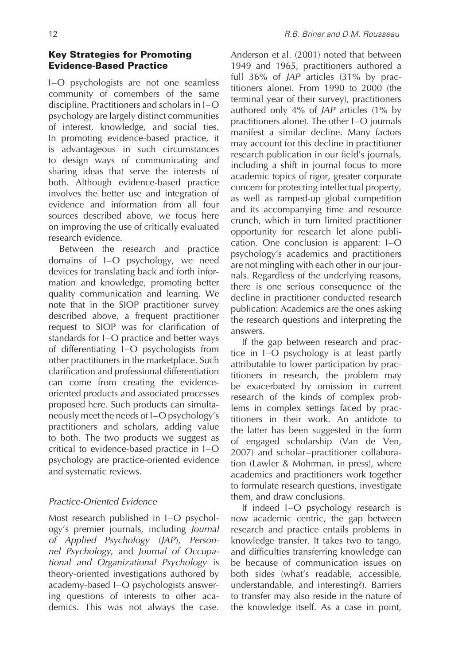## **Key Strategies for Promoting Evidence-Based Practice**

I–O psychologists are not one seamless community of comembers of the same discipline. Practitioners and scholars in I–O psychology are largely distinct communities of interest, knowledge, and social ties. In promoting evidence-based practice, it is advantageous in such circumstances to design ways of communicating and sharing ideas that serve the interests of both. Although evidence-based practice involves the better use and integration of evidence and information from all four sources described above, we focus here on improving the use of critically evaluated research evidence.

Between the research and practice domains of I–O psychology, we need devices for translating back and forth information and knowledge, promoting better quality communication and learning. We note that in the SIOP practitioner survey described above, a frequent practitioner request to SIOP was for clarification of standards for I–O practice and better ways of differentiating I–O psychologists from other practitioners in the marketplace. Such clarification and professional differentiation can come from creating the evidenceoriented products and associated processes proposed here. Such products can simultaneously meet the needs of I–O psychology's practitioners and scholars, adding value to both. The two products we suggest as critical to evidence-based practice in I–O psychology are practice-oriented evidence and systematic reviews.

# Practice-Oriented Evidence

Most research published in I–O psychology's premier journals, including Journal of Applied Psychology (JAP), Personnel Psychology, and Journal of Occupational and Organizational Psychology is theory-oriented investigations authored by academy-based I–O psychologists answering questions of interests to other academics. This was not always the case.

Anderson et al. (2001) noted that between 1949 and 1965, practitioners authored a full 36% of JAP articles (31% by practitioners alone). From 1990 to 2000 (the terminal year of their survey), practitioners authored only 4% of JAP articles (1% by practitioners alone). The other I–O journals manifest a similar decline. Many factors may account for this decline in practitioner research publication in our field's journals, including a shift in journal focus to more academic topics of rigor, greater corporate concern for protecting intellectual property, as well as ramped-up global competition and its accompanying time and resource crunch, which in turn limited practitioner opportunity for research let alone publication. One conclusion is apparent: I–O psychology's academics and practitioners are not mingling with each other in our journals. Regardless of the underlying reasons, there is one serious consequence of the decline in practitioner conducted research publication: Academics are the ones asking the research questions and interpreting the answers.

If the gap between research and practice in I–O psychology is at least partly attributable to lower participation by practitioners in research, the problem may be exacerbated by omission in current research of the kinds of complex problems in complex settings faced by practitioners in their work. An antidote to the latter has been suggested in the form of engaged scholarship (Van de Ven, 2007) and scholar–practitioner collaboration (Lawler & Mohrman, in press), where academics and practitioners work together to formulate research questions, investigate them, and draw conclusions.

If indeed I–O psychology research is now academic centric, the gap between research and practice entails problems in knowledge transfer. It takes two to tango, and difficulties transferring knowledge can be because of communication issues on both sides (what's readable, accessible, understandable, and interesting?). Barriers to transfer may also reside in the nature of the knowledge itself. As a case in point,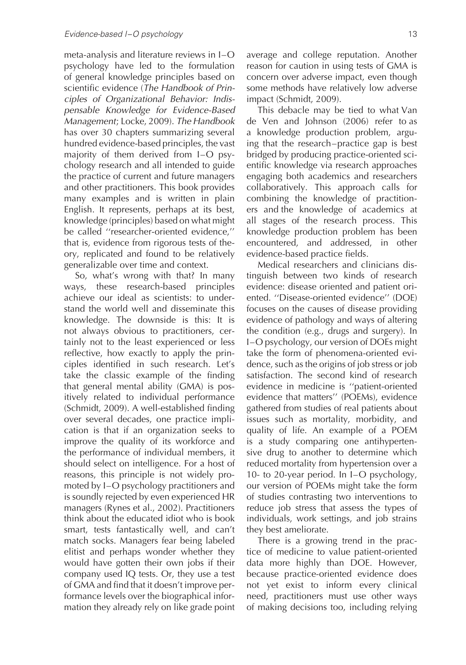meta-analysis and literature reviews in I–O psychology have led to the formulation of general knowledge principles based on scientific evidence (The Handbook of Principles of Organizational Behavior: Indispensable Knowledge for Evidence-Based Management; Locke, 2009). The Handbook has over 30 chapters summarizing several hundred evidence-based principles, the vast majority of them derived from I–O psychology research and all intended to guide the practice of current and future managers and other practitioners. This book provides many examples and is written in plain English. It represents, perhaps at its best, knowledge (principles) based on what might be called ''researcher-oriented evidence,'' that is, evidence from rigorous tests of theory, replicated and found to be relatively generalizable over time and context.

So, what's wrong with that? In many ways, these research-based principles achieve our ideal as scientists: to understand the world well and disseminate this knowledge. The downside is this: It is not always obvious to practitioners, certainly not to the least experienced or less reflective, how exactly to apply the principles identified in such research. Let's take the classic example of the finding that general mental ability (GMA) is positively related to individual performance (Schmidt, 2009). A well-established finding over several decades, one practice implication is that if an organization seeks to improve the quality of its workforce and the performance of individual members, it should select on intelligence. For a host of reasons, this principle is not widely promoted by I–O psychology practitioners and is soundly rejected by even experienced HR managers (Rynes et al., 2002). Practitioners think about the educated idiot who is book smart, tests fantastically well, and can't match socks. Managers fear being labeled elitist and perhaps wonder whether they would have gotten their own jobs if their company used IQ tests. Or, they use a test of GMA and find that it doesn't improve performance levels over the biographical information they already rely on like grade point

average and college reputation. Another reason for caution in using tests of GMA is concern over adverse impact, even though some methods have relatively low adverse impact (Schmidt, 2009).

This debacle may be tied to what Van de Ven and Johnson (2006) refer to as a knowledge production problem, arguing that the research–practice gap is best bridged by producing practice-oriented scientific knowledge via research approaches engaging both academics and researchers collaboratively. This approach calls for combining the knowledge of practitioners and the knowledge of academics at all stages of the research process. This knowledge production problem has been encountered, and addressed, in other evidence-based practice fields.

Medical researchers and clinicians distinguish between two kinds of research evidence: disease oriented and patient oriented. ''Disease-oriented evidence'' (DOE) focuses on the causes of disease providing evidence of pathology and ways of altering the condition (e.g., drugs and surgery). In I–O psychology, our version of DOEs might take the form of phenomena-oriented evidence, such as the origins of job stress or job satisfaction. The second kind of research evidence in medicine is ''patient-oriented evidence that matters'' (POEMs), evidence gathered from studies of real patients about issues such as mortality, morbidity, and quality of life. An example of a POEM is a study comparing one antihypertensive drug to another to determine which reduced mortality from hypertension over a 10- to 20-year period. In I–O psychology, our version of POEMs might take the form of studies contrasting two interventions to reduce job stress that assess the types of individuals, work settings, and job strains they best ameliorate.

There is a growing trend in the practice of medicine to value patient-oriented data more highly than DOE. However, because practice-oriented evidence does not yet exist to inform every clinical need, practitioners must use other ways of making decisions too, including relying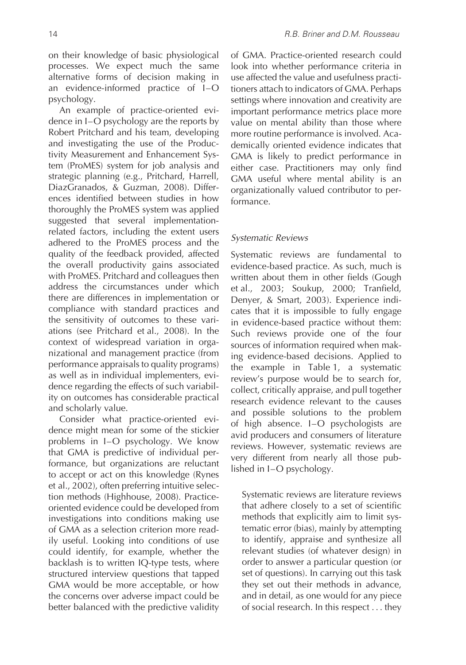on their knowledge of basic physiological processes. We expect much the same alternative forms of decision making in an evidence-informed practice of I–O psychology.

An example of practice-oriented evidence in I–O psychology are the reports by Robert Pritchard and his team, developing and investigating the use of the Productivity Measurement and Enhancement System (ProMES) system for job analysis and strategic planning (e.g., Pritchard, Harrell, DiazGranados, & Guzman, 2008). Differences identified between studies in how thoroughly the ProMES system was applied suggested that several implementationrelated factors, including the extent users adhered to the ProMES process and the quality of the feedback provided, affected the overall productivity gains associated with ProMES. Pritchard and colleagues then address the circumstances under which there are differences in implementation or compliance with standard practices and the sensitivity of outcomes to these variations (see Pritchard et al., 2008). In the context of widespread variation in organizational and management practice (from performance appraisals to quality programs) as well as in individual implementers, evidence regarding the effects of such variability on outcomes has considerable practical and scholarly value.

Consider what practice-oriented evidence might mean for some of the stickier problems in I–O psychology. We know that GMA is predictive of individual performance, but organizations are reluctant to accept or act on this knowledge (Rynes et al., 2002), often preferring intuitive selection methods (Highhouse, 2008). Practiceoriented evidence could be developed from investigations into conditions making use of GMA as a selection criterion more readily useful. Looking into conditions of use could identify, for example, whether the backlash is to written IQ-type tests, where structured interview questions that tapped GMA would be more acceptable, or how the concerns over adverse impact could be better balanced with the predictive validity

of GMA. Practice-oriented research could look into whether performance criteria in use affected the value and usefulness practitioners attach to indicators of GMA. Perhaps settings where innovation and creativity are important performance metrics place more value on mental ability than those where more routine performance is involved. Academically oriented evidence indicates that GMA is likely to predict performance in either case. Practitioners may only find GMA useful where mental ability is an organizationally valued contributor to performance.

### Systematic Reviews

Systematic reviews are fundamental to evidence-based practice. As such, much is written about them in other fields (Gough et al., 2003; Soukup, 2000; Tranfield, Denyer, & Smart, 2003). Experience indicates that it is impossible to fully engage in evidence-based practice without them: Such reviews provide one of the four sources of information required when making evidence-based decisions. Applied to the example in Table 1, a systematic review's purpose would be to search for, collect, critically appraise, and pull together research evidence relevant to the causes and possible solutions to the problem of high absence. I–O psychologists are avid producers and consumers of literature reviews. However, systematic reviews are very different from nearly all those published in I–O psychology.

Systematic reviews are literature reviews that adhere closely to a set of scientific methods that explicitly aim to limit systematic error (bias), mainly by attempting to identify, appraise and synthesize all relevant studies (of whatever design) in order to answer a particular question (or set of questions). In carrying out this task they set out their methods in advance, and in detail, as one would for any piece of social research. In this respect *...* they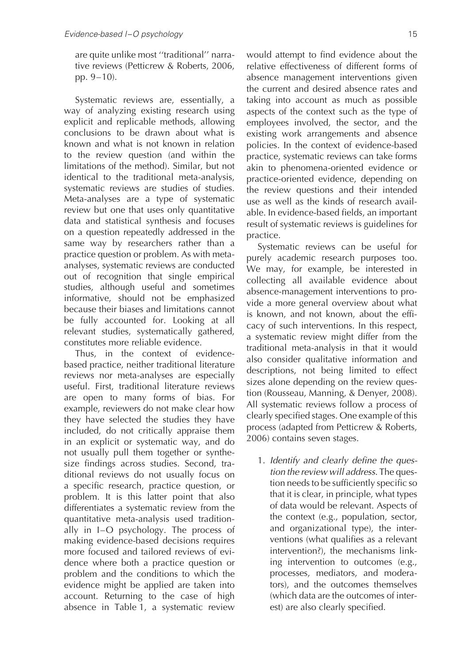are quite unlike most ''traditional'' narrative reviews (Petticrew & Roberts, 2006, pp. 9–10).

Systematic reviews are, essentially, a way of analyzing existing research using explicit and replicable methods, allowing conclusions to be drawn about what is known and what is not known in relation to the review question (and within the limitations of the method). Similar, but not identical to the traditional meta-analysis, systematic reviews are studies of studies. Meta-analyses are a type of systematic review but one that uses only quantitative data and statistical synthesis and focuses on a question repeatedly addressed in the same way by researchers rather than a practice question or problem. As with metaanalyses, systematic reviews are conducted out of recognition that single empirical studies, although useful and sometimes informative, should not be emphasized because their biases and limitations cannot be fully accounted for. Looking at all relevant studies, systematically gathered, constitutes more reliable evidence.

Thus, in the context of evidencebased practice, neither traditional literature reviews nor meta-analyses are especially useful. First, traditional literature reviews are open to many forms of bias. For example, reviewers do not make clear how they have selected the studies they have included, do not critically appraise them in an explicit or systematic way, and do not usually pull them together or synthesize findings across studies. Second, traditional reviews do not usually focus on a specific research, practice question, or problem. It is this latter point that also differentiates a systematic review from the quantitative meta-analysis used traditionally in I–O psychology. The process of making evidence-based decisions requires more focused and tailored reviews of evidence where both a practice question or problem and the conditions to which the evidence might be applied are taken into account. Returning to the case of high absence in Table 1, a systematic review

would attempt to find evidence about the relative effectiveness of different forms of absence management interventions given the current and desired absence rates and taking into account as much as possible aspects of the context such as the type of employees involved, the sector, and the existing work arrangements and absence policies. In the context of evidence-based practice, systematic reviews can take forms akin to phenomena-oriented evidence or practice-oriented evidence, depending on the review questions and their intended use as well as the kinds of research available. In evidence-based fields, an important result of systematic reviews is guidelines for practice.

Systematic reviews can be useful for purely academic research purposes too. We may, for example, be interested in collecting all available evidence about absence-management interventions to provide a more general overview about what is known, and not known, about the efficacy of such interventions. In this respect, a systematic review might differ from the traditional meta-analysis in that it would also consider qualitative information and descriptions, not being limited to effect sizes alone depending on the review question (Rousseau, Manning, & Denyer, 2008). All systematic reviews follow a process of clearly specified stages. One example of this process (adapted from Petticrew & Roberts, 2006) contains seven stages.

1. Identify and clearly define the question the review will address. The question needs to be sufficiently specific so that it is clear, in principle, what types of data would be relevant. Aspects of the context (e.g., population, sector, and organizational type), the interventions (what qualifies as a relevant intervention?), the mechanisms linking intervention to outcomes (e.g., processes, mediators, and moderators), and the outcomes themselves (which data are the outcomes of interest) are also clearly specified.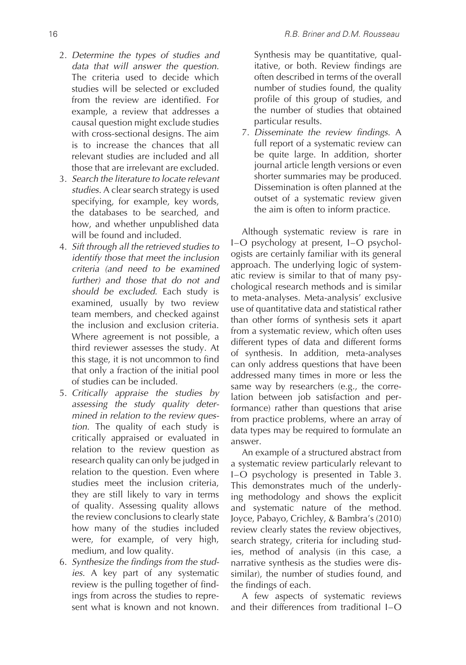- 2. Determine the types of studies and data that will answer the question. The criteria used to decide which studies will be selected or excluded from the review are identified. For example, a review that addresses a causal question might exclude studies with cross-sectional designs. The aim is to increase the chances that all relevant studies are included and all those that are irrelevant are excluded.
- 3. Search the literature to locate relevant studies. A clear search strategy is used specifying, for example, key words, the databases to be searched, and how, and whether unpublished data will be found and included.
- 4. Sift through all the retrieved studies to identify those that meet the inclusion criteria (and need to be examined further) and those that do not and should be excluded. Each study is examined, usually by two review team members, and checked against the inclusion and exclusion criteria. Where agreement is not possible, a third reviewer assesses the study. At this stage, it is not uncommon to find that only a fraction of the initial pool of studies can be included.
- 5. Critically appraise the studies by assessing the study quality determined in relation to the review question. The quality of each study is critically appraised or evaluated in relation to the review question as research quality can only be judged in relation to the question. Even where studies meet the inclusion criteria, they are still likely to vary in terms of quality. Assessing quality allows the review conclusions to clearly state how many of the studies included were, for example, of very high, medium, and low quality.
- 6. Synthesize the findings from the studies. A key part of any systematic review is the pulling together of findings from across the studies to represent what is known and not known.

Synthesis may be quantitative, qualitative, or both. Review findings are often described in terms of the overall number of studies found, the quality profile of this group of studies, and the number of studies that obtained particular results.

7. Disseminate the review findings. A full report of a systematic review can be quite large. In addition, shorter journal article length versions or even shorter summaries may be produced. Dissemination is often planned at the outset of a systematic review given the aim is often to inform practice.

Although systematic review is rare in I–O psychology at present, I–O psychologists are certainly familiar with its general approach. The underlying logic of systematic review is similar to that of many psychological research methods and is similar to meta-analyses. Meta-analysis' exclusive use of quantitative data and statistical rather than other forms of synthesis sets it apart from a systematic review, which often uses different types of data and different forms of synthesis. In addition, meta-analyses can only address questions that have been addressed many times in more or less the same way by researchers (e.g., the correlation between job satisfaction and performance) rather than questions that arise from practice problems, where an array of data types may be required to formulate an answer.

An example of a structured abstract from a systematic review particularly relevant to I–O psychology is presented in Table 3. This demonstrates much of the underlying methodology and shows the explicit and systematic nature of the method. Joyce, Pabayo, Crichley, & Bambra's (2010) review clearly states the review objectives, search strategy, criteria for including studies, method of analysis (in this case, a narrative synthesis as the studies were dissimilar), the number of studies found, and the findings of each.

A few aspects of systematic reviews and their differences from traditional I–O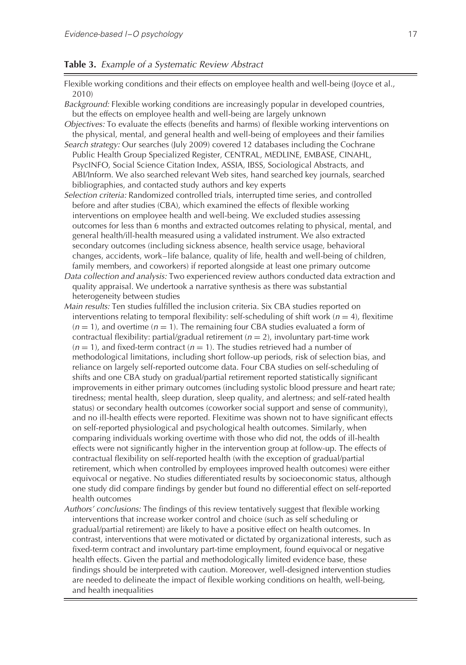#### **Table 3.** Example of <sup>a</sup> Systematic Review Abstract

- Flexible working conditions and their effects on employee health and well-being (Joyce et al., 2010)
- Background: Flexible working conditions are increasingly popular in developed countries, but the effects on employee health and well-being are largely unknown
- Objectives: To evaluate the effects (benefits and harms) of flexible working interventions on the physical, mental, and general health and well-being of employees and their families
- Search strategy: Our searches (July 2009) covered 12 databases including the Cochrane Public Health Group Specialized Register, CENTRAL, MEDLINE, EMBASE, CINAHL, PsycINFO, Social Science Citation Index, ASSIA, IBSS, Sociological Abstracts, and ABI/Inform. We also searched relevant Web sites, hand searched key journals, searched bibliographies, and contacted study authors and key experts
- Selection criteria: Randomized controlled trials, interrupted time series, and controlled before and after studies (CBA), which examined the effects of flexible working interventions on employee health and well-being. We excluded studies assessing outcomes for less than 6 months and extracted outcomes relating to physical, mental, and general health/ill-health measured using a validated instrument. We also extracted secondary outcomes (including sickness absence, health service usage, behavioral changes, accidents, work–life balance, quality of life, health and well-being of children, family members, and coworkers) if reported alongside at least one primary outcome
- Data collection and analysis: Two experienced review authors conducted data extraction and quality appraisal. We undertook a narrative synthesis as there was substantial heterogeneity between studies
- Main results: Ten studies fulfilled the inclusion criteria. Six CBA studies reported on interventions relating to temporal flexibility: self-scheduling of shift work  $(n = 4)$ , flexitime  $(n = 1)$ , and overtime  $(n = 1)$ . The remaining four CBA studies evaluated a form of contractual flexibility: partial/gradual retirement ( $n = 2$ ), involuntary part-time work  $(n = 1)$ , and fixed-term contract  $(n = 1)$ . The studies retrieved had a number of methodological limitations, including short follow-up periods, risk of selection bias, and reliance on largely self-reported outcome data. Four CBA studies on self-scheduling of shifts and one CBA study on gradual/partial retirement reported statistically significant improvements in either primary outcomes (including systolic blood pressure and heart rate; tiredness; mental health, sleep duration, sleep quality, and alertness; and self-rated health status) or secondary health outcomes (coworker social support and sense of community), and no ill-health effects were reported. Flexitime was shown not to have significant effects on self-reported physiological and psychological health outcomes. Similarly, when comparing individuals working overtime with those who did not, the odds of ill-health effects were not significantly higher in the intervention group at follow-up. The effects of contractual flexibility on self-reported health (with the exception of gradual/partial retirement, which when controlled by employees improved health outcomes) were either equivocal or negative. No studies differentiated results by socioeconomic status, although one study did compare findings by gender but found no differential effect on self-reported health outcomes
- Authors' conclusions: The findings of this review tentatively suggest that flexible working interventions that increase worker control and choice (such as self scheduling or gradual/partial retirement) are likely to have a positive effect on health outcomes. In contrast, interventions that were motivated or dictated by organizational interests, such as fixed-term contract and involuntary part-time employment, found equivocal or negative health effects. Given the partial and methodologically limited evidence base, these findings should be interpreted with caution. Moreover, well-designed intervention studies are needed to delineate the impact of flexible working conditions on health, well-being, and health inequalities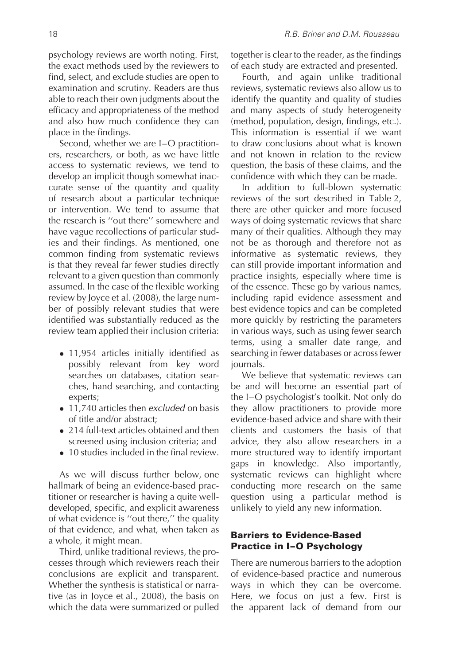psychology reviews are worth noting. First, the exact methods used by the reviewers to find, select, and exclude studies are open to examination and scrutiny. Readers are thus able to reach their own judgments about the efficacy and appropriateness of the method and also how much confidence they can place in the findings.

Second, whether we are I–O practitioners, researchers, or both, as we have little access to systematic reviews, we tend to develop an implicit though somewhat inaccurate sense of the quantity and quality of research about a particular technique or intervention. We tend to assume that the research is ''out there'' somewhere and have vague recollections of particular studies and their findings. As mentioned, one common finding from systematic reviews is that they reveal far fewer studies directly relevant to a given question than commonly assumed. In the case of the flexible working review by Joyce et al. (2008), the large number of possibly relevant studies that were identified was substantially reduced as the review team applied their inclusion criteria:

- 11,954 articles initially identified as possibly relevant from key word searches on databases, citation searches, hand searching, and contacting experts;
- 11,740 articles then excluded on basis of title and/or abstract;
- 214 full-text articles obtained and then screened using inclusion criteria; and
- 10 studies included in the final review.

As we will discuss further below, one hallmark of being an evidence-based practitioner or researcher is having a quite welldeveloped, specific, and explicit awareness of what evidence is ''out there,'' the quality of that evidence, and what, when taken as a whole, it might mean.

Third, unlike traditional reviews, the processes through which reviewers reach their conclusions are explicit and transparent. Whether the synthesis is statistical or narrative (as in Joyce et al., 2008), the basis on which the data were summarized or pulled

together is clear to the reader, as the findings of each study are extracted and presented.

Fourth, and again unlike traditional reviews, systematic reviews also allow us to identify the quantity and quality of studies and many aspects of study heterogeneity (method, population, design, findings, etc.). This information is essential if we want to draw conclusions about what is known and not known in relation to the review question, the basis of these claims, and the confidence with which they can be made.

In addition to full-blown systematic reviews of the sort described in Table 2, there are other quicker and more focused ways of doing systematic reviews that share many of their qualities. Although they may not be as thorough and therefore not as informative as systematic reviews, they can still provide important information and practice insights, especially where time is of the essence. These go by various names, including rapid evidence assessment and best evidence topics and can be completed more quickly by restricting the parameters in various ways, such as using fewer search terms, using a smaller date range, and searching in fewer databases or across fewer journals.

We believe that systematic reviews can be and will become an essential part of the I–O psychologist's toolkit. Not only do they allow practitioners to provide more evidence-based advice and share with their clients and customers the basis of that advice, they also allow researchers in a more structured way to identify important gaps in knowledge. Also importantly, systematic reviews can highlight where conducting more research on the same question using a particular method is unlikely to yield any new information.

## **Barriers to Evidence-Based Practice in I–O Psychology**

There are numerous barriers to the adoption of evidence-based practice and numerous ways in which they can be overcome. Here, we focus on just a few. First is the apparent lack of demand from our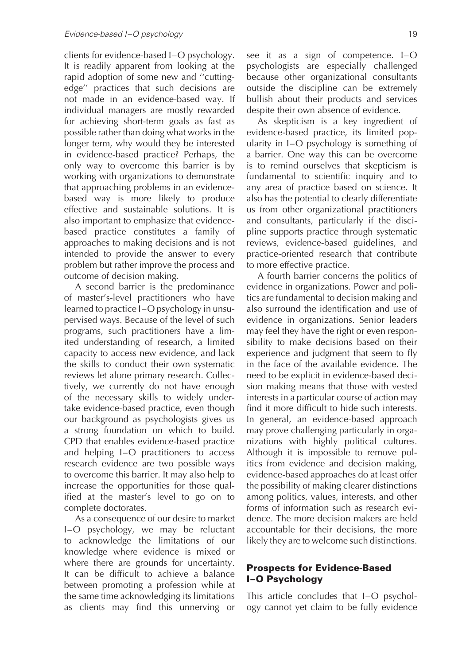clients for evidence-based I–O psychology. It is readily apparent from looking at the rapid adoption of some new and ''cuttingedge'' practices that such decisions are not made in an evidence-based way. If individual managers are mostly rewarded for achieving short-term goals as fast as possible rather than doing what works in the longer term, why would they be interested in evidence-based practice? Perhaps, the only way to overcome this barrier is by working with organizations to demonstrate that approaching problems in an evidencebased way is more likely to produce effective and sustainable solutions. It is also important to emphasize that evidencebased practice constitutes a family of approaches to making decisions and is not intended to provide the answer to every problem but rather improve the process and outcome of decision making.

A second barrier is the predominance of master's-level practitioners who have learned to practice I–O psychology in unsupervised ways. Because of the level of such programs, such practitioners have a limited understanding of research, a limited capacity to access new evidence, and lack the skills to conduct their own systematic reviews let alone primary research. Collectively, we currently do not have enough of the necessary skills to widely undertake evidence-based practice, even though our background as psychologists gives us a strong foundation on which to build. CPD that enables evidence-based practice and helping I–O practitioners to access research evidence are two possible ways to overcome this barrier. It may also help to increase the opportunities for those qualified at the master's level to go on to complete doctorates.

As a consequence of our desire to market I–O psychology, we may be reluctant to acknowledge the limitations of our knowledge where evidence is mixed or where there are grounds for uncertainty. It can be difficult to achieve a balance between promoting a profession while at the same time acknowledging its limitations as clients may find this unnerving or

see it as a sign of competence. I–O psychologists are especially challenged because other organizational consultants outside the discipline can be extremely bullish about their products and services despite their own absence of evidence.

As skepticism is a key ingredient of evidence-based practice, its limited popularity in I–O psychology is something of a barrier. One way this can be overcome is to remind ourselves that skepticism is fundamental to scientific inquiry and to any area of practice based on science. It also has the potential to clearly differentiate us from other organizational practitioners and consultants, particularly if the discipline supports practice through systematic reviews, evidence-based guidelines, and practice-oriented research that contribute to more effective practice.

A fourth barrier concerns the politics of evidence in organizations. Power and politics are fundamental to decision making and also surround the identification and use of evidence in organizations. Senior leaders may feel they have the right or even responsibility to make decisions based on their experience and judgment that seem to fly in the face of the available evidence. The need to be explicit in evidence-based decision making means that those with vested interests in a particular course of action may find it more difficult to hide such interests. In general, an evidence-based approach may prove challenging particularly in organizations with highly political cultures. Although it is impossible to remove politics from evidence and decision making, evidence-based approaches do at least offer the possibility of making clearer distinctions among politics, values, interests, and other forms of information such as research evidence. The more decision makers are held accountable for their decisions, the more likely they are to welcome such distinctions.

## **Prospects for Evidence-Based I–O Psychology**

This article concludes that I–O psychology cannot yet claim to be fully evidence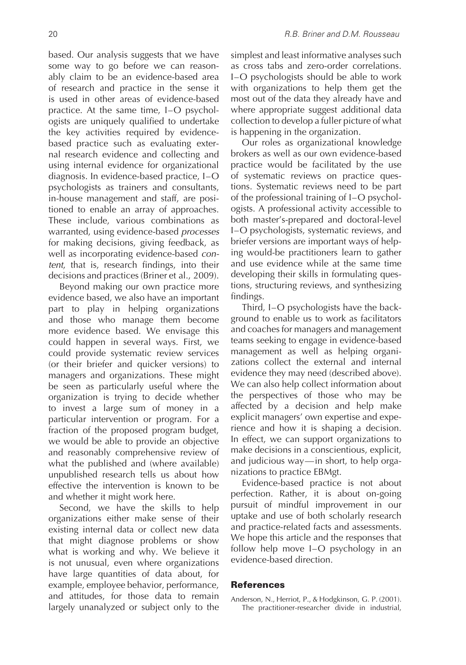based. Our analysis suggests that we have some way to go before we can reasonably claim to be an evidence-based area of research and practice in the sense it is used in other areas of evidence-based practice. At the same time, I–O psychologists are uniquely qualified to undertake the key activities required by evidencebased practice such as evaluating external research evidence and collecting and using internal evidence for organizational diagnosis. In evidence-based practice, I–O psychologists as trainers and consultants, in-house management and staff, are positioned to enable an array of approaches. These include, various combinations as warranted, using evidence-based processes for making decisions, giving feedback, as well as incorporating evidence-based content, that is, research findings, into their decisions and practices (Briner et al., 2009).

Beyond making our own practice more evidence based, we also have an important part to play in helping organizations and those who manage them become more evidence based. We envisage this could happen in several ways. First, we could provide systematic review services (or their briefer and quicker versions) to managers and organizations. These might be seen as particularly useful where the organization is trying to decide whether to invest a large sum of money in a particular intervention or program. For a fraction of the proposed program budget, we would be able to provide an objective and reasonably comprehensive review of what the published and (where available) unpublished research tells us about how effective the intervention is known to be and whether it might work here.

Second, we have the skills to help organizations either make sense of their existing internal data or collect new data that might diagnose problems or show what is working and why. We believe it is not unusual, even where organizations have large quantities of data about, for example, employee behavior, performance, and attitudes, for those data to remain largely unanalyzed or subject only to the

simplest and least informative analyses such as cross tabs and zero-order correlations. I–O psychologists should be able to work with organizations to help them get the most out of the data they already have and where appropriate suggest additional data collection to develop a fuller picture of what is happening in the organization.

Our roles as organizational knowledge brokers as well as our own evidence-based practice would be facilitated by the use of systematic reviews on practice questions. Systematic reviews need to be part of the professional training of I–O psychologists. A professional activity accessible to both master's-prepared and doctoral-level I–O psychologists, systematic reviews, and briefer versions are important ways of helping would-be practitioners learn to gather and use evidence while at the same time developing their skills in formulating questions, structuring reviews, and synthesizing findings.

Third, I–O psychologists have the background to enable us to work as facilitators and coaches for managers and management teams seeking to engage in evidence-based management as well as helping organizations collect the external and internal evidence they may need (described above). We can also help collect information about the perspectives of those who may be affected by a decision and help make explicit managers' own expertise and experience and how it is shaping a decision. In effect, we can support organizations to make decisions in a conscientious, explicit, and judicious way—in short, to help organizations to practice EBMgt.

Evidence-based practice is not about perfection. Rather, it is about on-going pursuit of mindful improvement in our uptake and use of both scholarly research and practice-related facts and assessments. We hope this article and the responses that follow help move I–O psychology in an evidence-based direction.

## **References**

Anderson, N., Herriot, P., & Hodgkinson, G. P. (2001). The practitioner-researcher divide in industrial,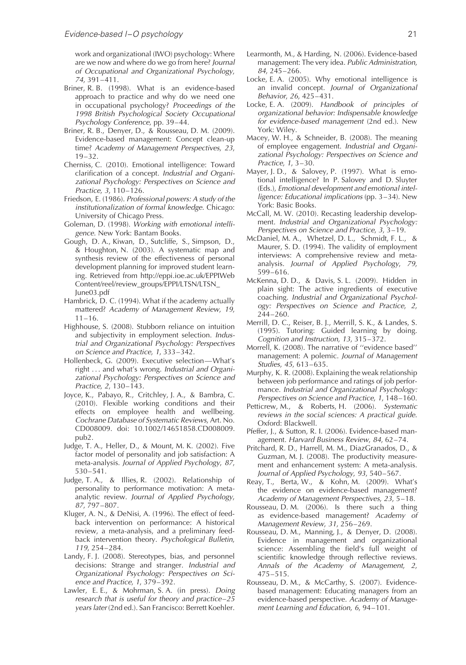work and organizational (IWO) psychology: Where are we now and where do we go from here? Journal of Occupational and Organizational Psychology, <sup>74</sup>, 391–411.

- Briner, R. B. (1998). What is an evidence-based approach to practice and why do we need one in occupational psychology? Proceedings of the <sup>1998</sup> British Psychological Society Occupational Psychology Conference, pp. 39–44.
- Briner, R. B., Denyer, D., & Rousseau, D. M. (2009). Evidence-based management: Concept clean-up time? Academy of Management Perspectives, <sup>23</sup>, 19–32.
- Cherniss, C. (2010). Emotional intelligence: Toward clarification of a concept. Industrial and Organizational Psychology: Perspectives on Science and Practice, <sup>3</sup>, 110–126.
- Friedson, E. (1986). Professional powers: <sup>A</sup> study of the institutionalization of formal knowledge. Chicago: University of Chicago Press.
- Goleman, D. (1998). Working with emotional intelligence. New York: Bantam Books.
- Gough, D. A., Kiwan, D., Sutcliffe, S., Simpson, D., & Houghton, N. (2003). A systematic map and synthesis review of the effectiveness of personal development planning for improved student learning. Retrieved from http://eppi.ioe.ac.uk/EPPIWeb Content/reel/review\_groups/EPPI/LTSN/LTSN\_ June03.pdf
- Hambrick, D. C. (1994). What if the academy actually mattered? Academy of Management Review, <sup>19</sup>,  $11 - 16$ .
- Highhouse, S. (2008). Stubborn reliance on intuition and subjectivity in employment selection. Industrial and Organizational Psychology: Perspectives on Science and Practice, <sup>1</sup>, 333–342.
- Hollenbeck, G. (2009). Executive selection—What's right *...* and what's wrong. Industrial and Organizational Psychology: Perspectives on Science and Practice, <sup>2</sup>, 130–143.
- Joyce, K., Pabayo, R., Critchley, J. A., & Bambra, C. (2010). Flexible working conditions and their effects on employee health and wellbeing. Cochrane Database of Systematic Reviews, Art. No. CD008009. doi: 10.1002/14651858.CD008009. pub2.
- Judge, T. A., Heller, D., & Mount, M. K. (2002). Five factor model of personality and job satisfaction: A meta-analysis. Journal of Applied Psychology, <sup>87</sup>, 530–541.
- Judge, T. A., & Illies, R. (2002). Relationship of personality to performance motivation: A metaanalytic review. Journal of Applied Psychology, <sup>87</sup>, 797–807.
- Kluger, A. N., & DeNisi, A. (1996). The effect of feedback intervention on performance: A historical review, a meta-analysis, and a preliminary feedback intervention theory. Psychological Bulletin, <sup>119</sup>, 254–284.
- Landy, F. J. (2008). Stereotypes, bias, and personnel decisions: Strange and stranger. Industrial and Organizational Psychology: Perspectives on Science and Practice, <sup>1</sup>, 379–392.
- Lawler, E. E., & Mohrman, S. A. (in press). Doing research that is useful for theory and practice–25 years later (2nd ed.). San Francisco: Berrett Koehler.
- Learmonth, M., & Harding, N. (2006). Evidence-based management: The very idea. Public Administration, <sup>84</sup>, 245–266.
- Locke, E. A. (2005). Why emotional intelligence is an invalid concept. Journal of Organizational Behavior, <sup>26</sup>, 425–431.
- Locke, E. A. (2009). Handbook of principles of organizational behavior: Indispensable knowledge for evidence-based management (2nd ed.). New York: Wiley.
- Macey, W. H., & Schneider, B. (2008). The meaning of employee engagement. Industrial and Organizational Psychology: Perspectives on Science and Practice, <sup>1</sup>, 3–30.
- Mayer, J. D., & Salovey, P. (1997). What is emotional intelligence? In P. Salovey and D. Sluyter (Eds.), Emotional development and emotional intelligence: Educational implications (pp. 3–34). New York: Basic Books.
- McCall, M. W. (2010). Recasting leadership development. Industrial and Organizational Psychology: Perspectives on Science and Practice, <sup>3</sup>, 3–19.
- McDaniel, M. A., Whetzel, D. L., Schmidt, F. L., & Maurer, S. D. (1994). The validity of employment interviews: A comprehensive review and metaanalysis. Journal of Applied Psychology, <sup>79</sup>, 599–616.
- McKenna, D. D., & Davis, S. L. (2009). Hidden in plain sight: The active ingredients of executive coaching. Industrial and Organizational Psychology: Perspectives on Science and Practice, <sup>2</sup>, 244–260.
- Merrill, D. C., Reiser, B. J., Merrill, S. K., & Landes, S. (1995). Tutoring: Guided learning by doing. Cognition and Instruction, <sup>13</sup>, 315–372.
- Morrell, K. (2008). The narrative of ''evidence based'' management: A polemic. Journal of Management Studies, <sup>45</sup>, 613–635.
- Murphy, K. R. (2008). Explaining the weak relationship between job performance and ratings of job performance. Industrial and Organizational Psychology: Perspectives on Science and Practice, <sup>1</sup>, 148–160.
- Petticrew, M., & Roberts, H. (2006). Systematic reviews in the social sciences: <sup>A</sup> practical guide. Oxford: Blackwell.
- Pfeffer, J., & Sutton, R. I. (2006). Evidence-based management. Harvard Business Review, <sup>84</sup>, 62–74.
- Pritchard, R. D., Harrell, M. M., DiazGranados, D., & Guzman, M. J. (2008). The productivity measurement and enhancement system: A meta-analysis. Journal of Applied Psychology, <sup>93</sup>, 540–567.
- Reay, T., Berta, W., & Kohn, M. (2009). What's the evidence on evidence-based management? Academy of Management Perspectives, <sup>23</sup>, 5–18.
- Rousseau, D. M. (2006). Is there such a thing as evidence-based management? Academy of Management Review, <sup>31</sup>, 256–269.
- Rousseau, D. M., Manning, J., & Denyer, D. (2008). Evidence in management and organizational science: Assembling the field's full weight of scientific knowledge through reflective reviews. Annals of the Academy of Management, <sup>2</sup>, 475–515.
- Rousseau, D. M., & McCarthy, S. (2007). Evidencebased management: Educating managers from an evidence-based perspective. Academy of Management Learning and Education, <sup>6</sup>, 94–101.